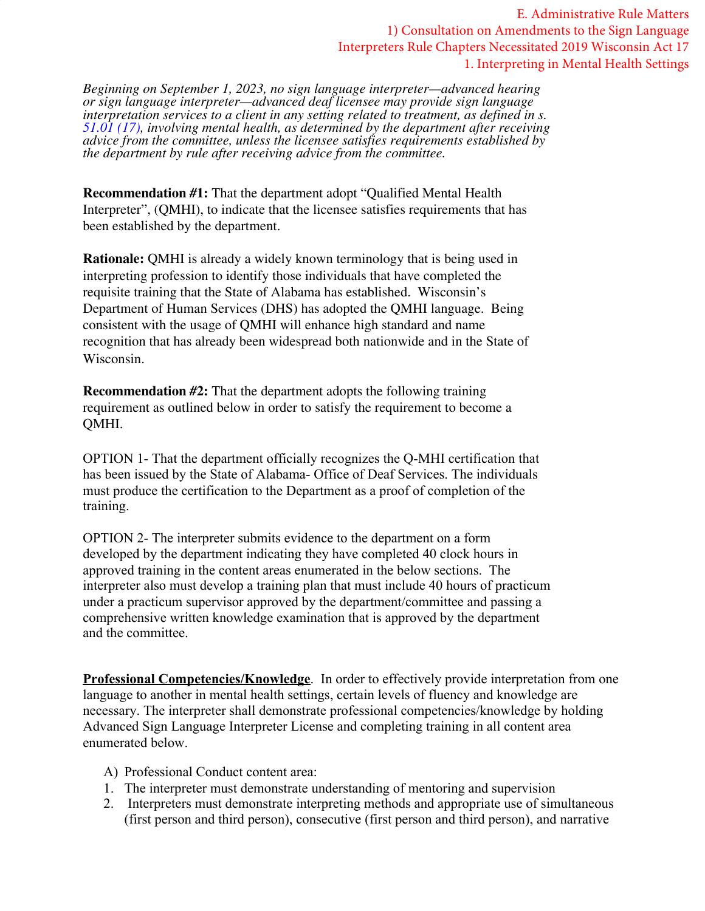E. Administrative Rule Matters 1) Consultation on Amendments to the Sign Language Interpreters Rule Chapters Necessitated 2019 Wisconsin Act 17 1. Interpreting in Mental Health Settings

*Beginning on September 1, 2023, no sign language interpreter—advanced hearing or sign language interpreter—advanced deaf licensee may provide sign language interpretation services to a client in any setting related to treatment, as defined in s. 51.01 (17), involving mental health, as determined by the department after receiving advice from the committee, unless the licensee satisfies requirements established by the department by rule after receiving advice from the committee.*

**Recommendation #1:** That the department adopt "Qualified Mental Health Interpreter", (QMHI), to indicate that the licensee satisfies requirements that has been established by the department.

**Rationale:** QMHI is already a widely known terminology that is being used in interpreting profession to identify those individuals that have completed the requisite training that the State of Alabama has established. Wisconsin's Department of Human Services (DHS) has adopted the QMHI language. Being consistent with the usage of QMHI will enhance high standard and name recognition that has already been widespread both nationwide and in the State of Wisconsin.

**Recommendation #2:** That the department adopts the following training requirement as outlined below in order to satisfy the requirement to become a QMHI.

OPTION 1- That the department officially recognizes the Q-MHI certification that has been issued by the State of Alabama- Office of Deaf Services. The individuals must produce the certification to the Department as a proof of completion of the training.

OPTION 2- The interpreter submits evidence to the department on a form developed by the department indicating they have completed 40 clock hours in approved training in the content areas enumerated in the below sections. The interpreter also must develop a training plan that must include 40 hours of practicum under a practicum supervisor approved by the department/committee and passing a comprehensive written knowledge examination that is approved by the department and the committee.

**Professional Competencies/Knowledge**.In order to effectively provide interpretation from one language to another in mental health settings, certain levels of fluency and knowledge are necessary. The interpreter shall demonstrate professional competencies/knowledge by holding Advanced Sign Language Interpreter License and completing training in all content area enumerated below.

- A) Professional Conduct content area:
- 1. The interpreter must demonstrate understanding of mentoring and supervision
- 2. Interpreters must demonstrate interpreting methods and appropriate use of simultaneous (first person and third person), consecutive (first person and third person), and narrative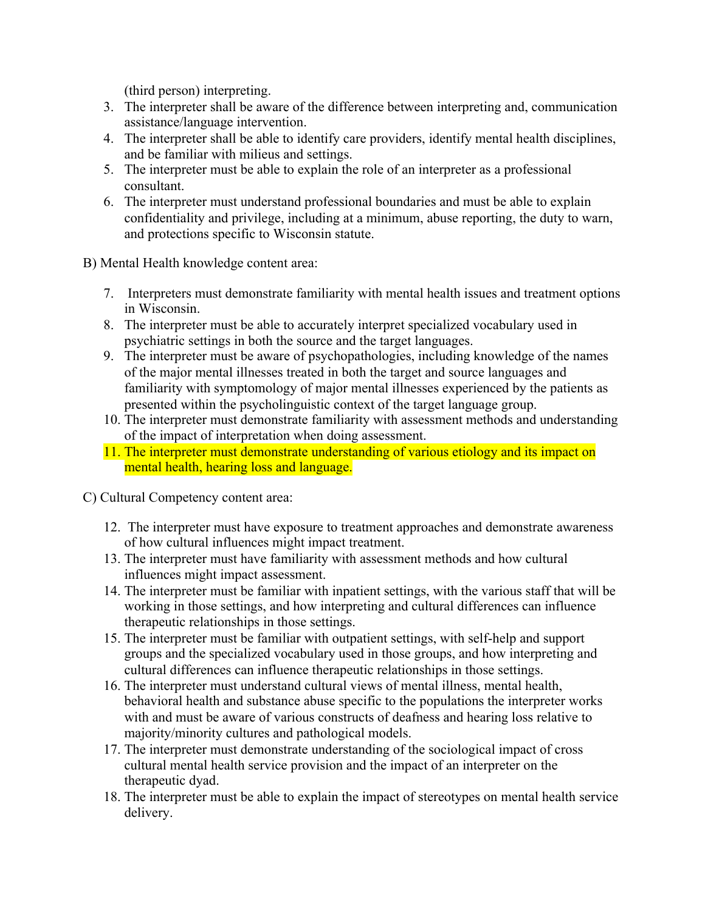(third person) interpreting.

- 3. The interpreter shall be aware of the difference between interpreting and, communication assistance/language intervention.
- 4. The interpreter shall be able to identify care providers, identify mental health disciplines, and be familiar with milieus and settings.
- 5. The interpreter must be able to explain the role of an interpreter as a professional consultant.
- 6. The interpreter must understand professional boundaries and must be able to explain confidentiality and privilege, including at a minimum, abuse reporting, the duty to warn, and protections specific to Wisconsin statute.

B) Mental Health knowledge content area:

- 7. Interpreters must demonstrate familiarity with mental health issues and treatment options in Wisconsin.
- 8. The interpreter must be able to accurately interpret specialized vocabulary used in psychiatric settings in both the source and the target languages.
- 9. The interpreter must be aware of psychopathologies, including knowledge of the names of the major mental illnesses treated in both the target and source languages and familiarity with symptomology of major mental illnesses experienced by the patients as presented within the psycholinguistic context of the target language group.
- 10. The interpreter must demonstrate familiarity with assessment methods and understanding of the impact of interpretation when doing assessment.
- 11. The interpreter must demonstrate understanding of various etiology and its impact on mental health, hearing loss and language.

C) Cultural Competency content area:

- 12. The interpreter must have exposure to treatment approaches and demonstrate awareness of how cultural influences might impact treatment.
- 13. The interpreter must have familiarity with assessment methods and how cultural influences might impact assessment.
- 14. The interpreter must be familiar with inpatient settings, with the various staff that will be working in those settings, and how interpreting and cultural differences can influence therapeutic relationships in those settings.
- 15. The interpreter must be familiar with outpatient settings, with self-help and support groups and the specialized vocabulary used in those groups, and how interpreting and cultural differences can influence therapeutic relationships in those settings.
- 16. The interpreter must understand cultural views of mental illness, mental health, behavioral health and substance abuse specific to the populations the interpreter works with and must be aware of various constructs of deafness and hearing loss relative to majority/minority cultures and pathological models.
- 17. The interpreter must demonstrate understanding of the sociological impact of cross cultural mental health service provision and the impact of an interpreter on the therapeutic dyad.
- 18. The interpreter must be able to explain the impact of stereotypes on mental health service delivery.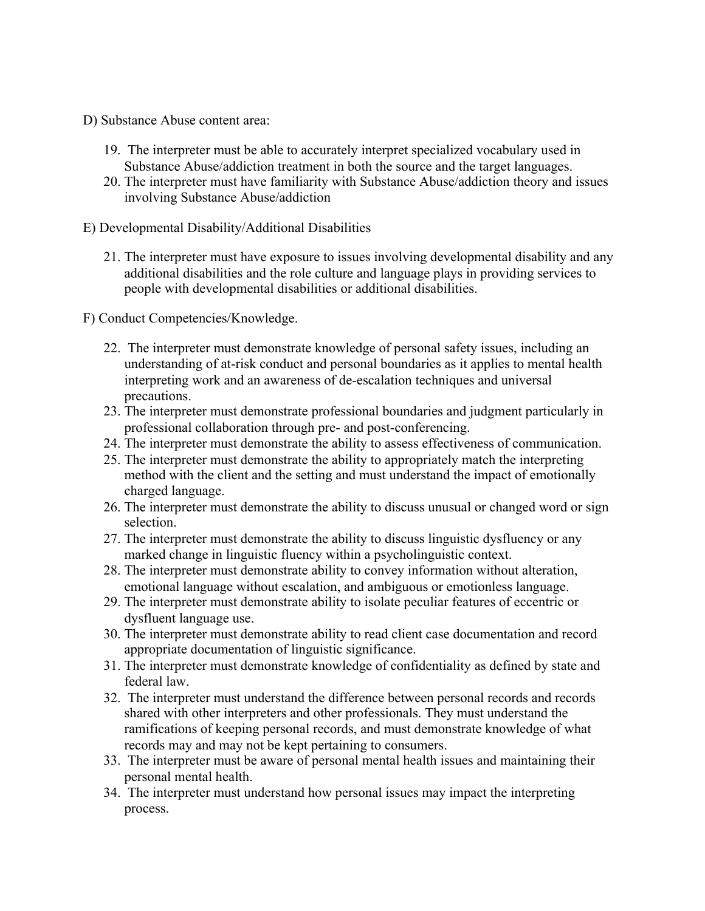- D) Substance Abuse content area:
	- 19. The interpreter must be able to accurately interpret specialized vocabulary used in Substance Abuse/addiction treatment in both the source and the target languages.
	- 20. The interpreter must have familiarity with Substance Abuse/addiction theory and issues involving Substance Abuse/addiction
- E) Developmental Disability/Additional Disabilities
	- 21. The interpreter must have exposure to issues involving developmental disability and any additional disabilities and the role culture and language plays in providing services to people with developmental disabilities or additional disabilities.

F) Conduct Competencies/Knowledge.

- 22. The interpreter must demonstrate knowledge of personal safety issues, including an understanding of at-risk conduct and personal boundaries as it applies to mental health interpreting work and an awareness of de-escalation techniques and universal precautions.
- 23. The interpreter must demonstrate professional boundaries and judgment particularly in professional collaboration through pre- and post-conferencing.
- 24. The interpreter must demonstrate the ability to assess effectiveness of communication.
- 25. The interpreter must demonstrate the ability to appropriately match the interpreting method with the client and the setting and must understand the impact of emotionally charged language.
- 26. The interpreter must demonstrate the ability to discuss unusual or changed word or sign selection.
- 27. The interpreter must demonstrate the ability to discuss linguistic dysfluency or any marked change in linguistic fluency within a psycholinguistic context.
- 28. The interpreter must demonstrate ability to convey information without alteration, emotional language without escalation, and ambiguous or emotionless language.
- 29. The interpreter must demonstrate ability to isolate peculiar features of eccentric or dysfluent language use.
- 30. The interpreter must demonstrate ability to read client case documentation and record appropriate documentation of linguistic significance.
- 31. The interpreter must demonstrate knowledge of confidentiality as defined by state and federal law.
- 32. The interpreter must understand the difference between personal records and records shared with other interpreters and other professionals. They must understand the ramifications of keeping personal records, and must demonstrate knowledge of what records may and may not be kept pertaining to consumers.
- 33. The interpreter must be aware of personal mental health issues and maintaining their personal mental health.
- 34. The interpreter must understand how personal issues may impact the interpreting process.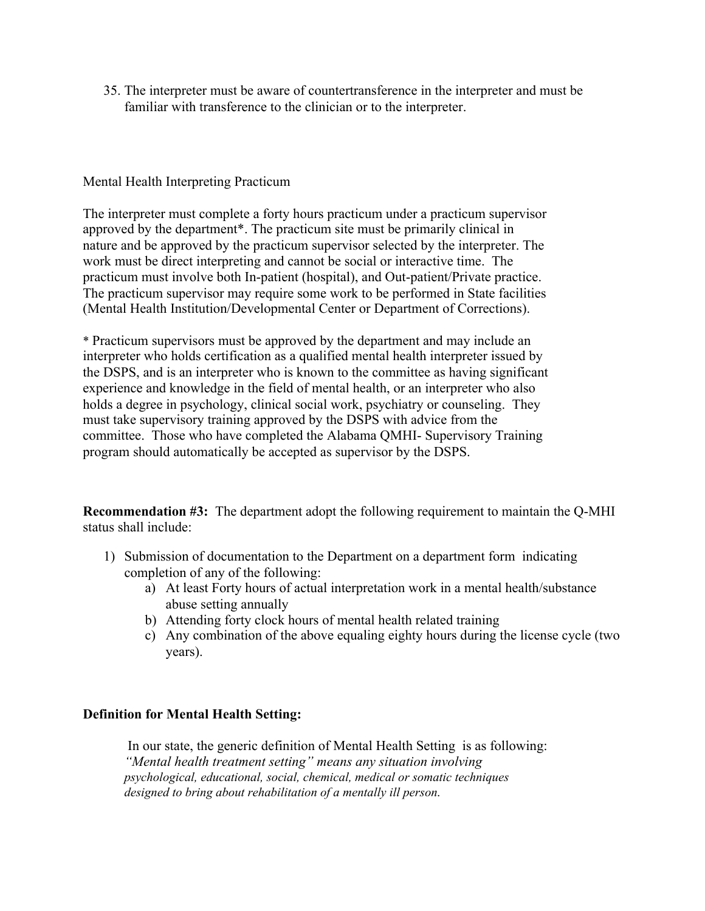35. The interpreter must be aware of countertransference in the interpreter and must be familiar with transference to the clinician or to the interpreter.

## Mental Health Interpreting Practicum

The interpreter must complete a forty hours practicum under a practicum supervisor approved by the department\*. The practicum site must be primarily clinical in nature and be approved by the practicum supervisor selected by the interpreter. The work must be direct interpreting and cannot be social or interactive time. The practicum must involve both In-patient (hospital), and Out-patient/Private practice. The practicum supervisor may require some work to be performed in State facilities (Mental Health Institution/Developmental Center or Department of Corrections).

\* Practicum supervisors must be approved by the department and may include an interpreter who holds certification as a qualified mental health interpreter issued by the DSPS, and is an interpreter who is known to the committee as having significant experience and knowledge in the field of mental health, or an interpreter who also holds a degree in psychology, clinical social work, psychiatry or counseling. They must take supervisory training approved by the DSPS with advice from the committee. Those who have completed the Alabama QMHI- Supervisory Training program should automatically be accepted as supervisor by the DSPS.

**Recommendation #3:** The department adopt the following requirement to maintain the Q-MHI status shall include:

- 1) Submission of documentation to the Department on a department form indicating completion of any of the following:
	- a) At least Forty hours of actual interpretation work in a mental health/substance abuse setting annually
	- b) Attending forty clock hours of mental health related training
	- c) Any combination of the above equaling eighty hours during the license cycle (two years).

## **Definition for Mental Health Setting:**

In our state, the generic definition of Mental Health Setting is as following: *"Mental health treatment setting" means any situation involving psychological, educational, social, chemical, medical or somatic techniques designed to bring about rehabilitation of a mentally ill person.*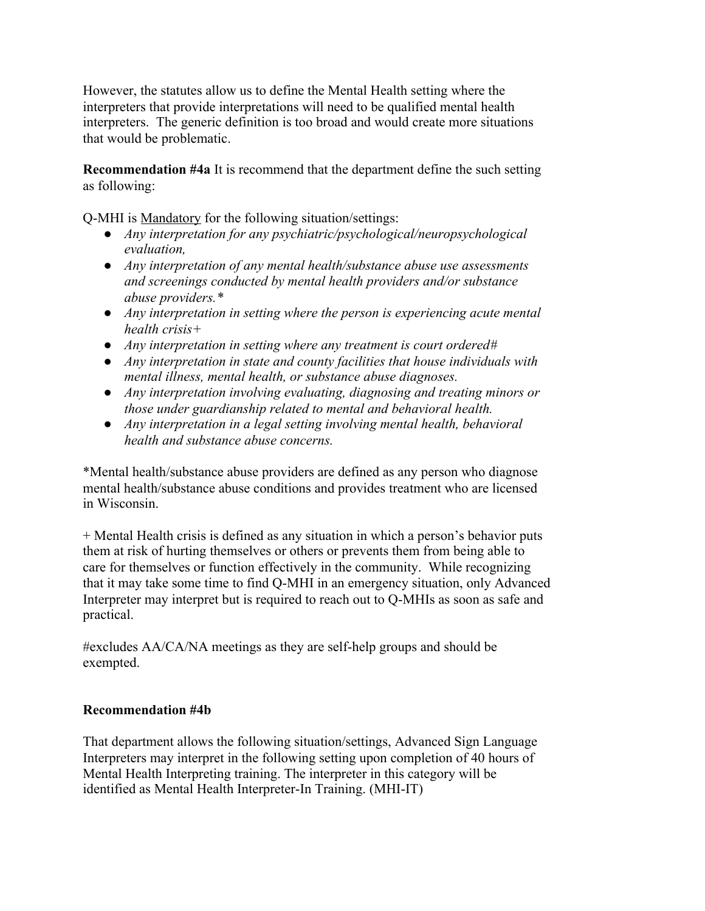However, the statutes allow us to define the Mental Health setting where the interpreters that provide interpretations will need to be qualified mental health interpreters. The generic definition is too broad and would create more situations that would be problematic.

**Recommendation #4a** It is recommend that the department define the such setting as following:

Q-MHI is Mandatory for the following situation/settings:

- *● Any interpretation for any psychiatric/psychological/neuropsychological evaluation,*
- *● Any interpretation of any mental health/substance abuse use assessments and screenings conducted by mental health providers and/or substance abuse providers.\**
- *● Any interpretation in setting where the person is experiencing acute mental health crisis+*
- *● Any interpretation in setting where any treatment is court ordered#*
- *● Any interpretation in state and county facilities that house individuals with mental illness, mental health, or substance abuse diagnoses.*
- *● Any interpretation involving evaluating, diagnosing and treating minors or those under guardianship related to mental and behavioral health.*
- *● Any interpretation in a legal setting involving mental health, behavioral health and substance abuse concerns.*

\*Mental health/substance abuse providers are defined as any person who diagnose mental health/substance abuse conditions and provides treatment who are licensed in Wisconsin.

+ Mental Health crisis is defined as any situation in which a person's behavior puts them at risk of hurting themselves or others or prevents them from being able to care for themselves or function effectively in the community. While recognizing that it may take some time to find Q-MHI in an emergency situation, only Advanced Interpreter may interpret but is required to reach out to Q-MHIs as soon as safe and practical.

#excludes AA/CA/NA meetings as they are self-help groups and should be exempted.

## **Recommendation #4b**

That department allows the following situation/settings, Advanced Sign Language Interpreters may interpret in the following setting upon completion of 40 hours of Mental Health Interpreting training. The interpreter in this category will be identified as Mental Health Interpreter-In Training. (MHI-IT)